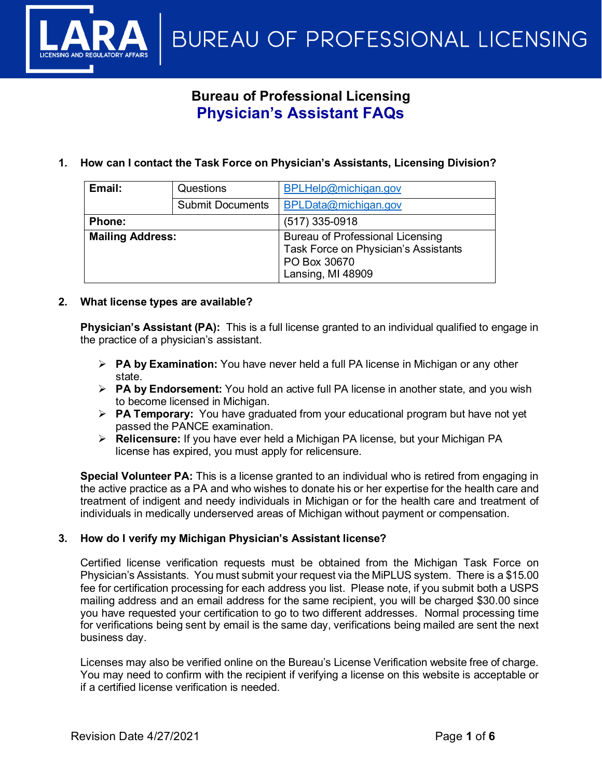**BUREAU OF PROFESSIONAL LICENSING** 

# **Bureau of Professional Licensing Physician's Assistant FAQs**

**1. How can I contact the Task Force on Physician's Assistants, Licensing Division?**

| Email:                  | Questions               | BPLHelp@michigan.gov                                                                                                 |  |  |  |  |
|-------------------------|-------------------------|----------------------------------------------------------------------------------------------------------------------|--|--|--|--|
|                         | <b>Submit Documents</b> | BPLData@michigan.gov                                                                                                 |  |  |  |  |
| <b>Phone:</b>           |                         | $(517)$ 335-0918                                                                                                     |  |  |  |  |
| <b>Mailing Address:</b> |                         | <b>Bureau of Professional Licensing</b><br>Task Force on Physician's Assistants<br>PO Box 30670<br>Lansing, MI 48909 |  |  |  |  |

# **2. What license types are available?**

**Physician's Assistant (PA):** This is a full license granted to an individual qualified to engage in the practice of a physician's assistant.

- **PA by Examination:** You have never held a full PA license in Michigan or any other state.
- **PA by Endorsement:** You hold an active full PA license in another state, and you wish to become licensed in Michigan.
- **PA Temporary:** You have graduated from your educational program but have not yet passed the PANCE examination.
- **Relicensure:** If you have ever held a Michigan PA license, but your Michigan PA license has expired, you must apply for relicensure.

**Special Volunteer PA:** This is a license granted to an individual who is retired from engaging in the active practice as a PA and who wishes to donate his or her expertise for the health care and treatment of indigent and needy individuals in Michigan or for the health care and treatment of individuals in medically underserved areas of Michigan without payment or compensation.

# **3. How do I verify my Michigan Physician's Assistant license?**

Certified license verification requests must be obtained from the Michigan Task Force on Physician's Assistants. You must submit your request via the MiPLUS system. There is a \$15.00 fee for certification processing for each address you list. Please note, if you submit both a USPS mailing address and an email address for the same recipient, you will be charged \$30.00 since you have requested your certification to go to two different addresses. Normal processing time for verifications being sent by email is the same day, verifications being mailed are sent the next business day.

Licenses may also be verified online on the Bureau's License Verification website free of charge. You may need to confirm with the recipient if verifying a license on this website is acceptable or if a certified license verification is needed.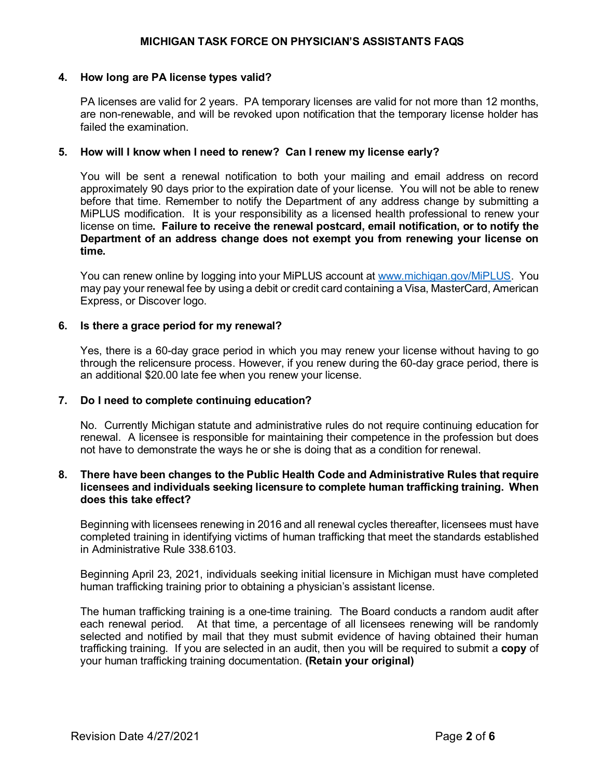# **4. How long are PA license types valid?**

PA licenses are valid for 2 years. PA temporary licenses are valid for not more than 12 months, are non-renewable, and will be revoked upon notification that the temporary license holder has failed the examination.

# **5. How will I know when I need to renew? Can I renew my license early?**

You will be sent a renewal notification to both your mailing and email address on record approximately 90 days prior to the expiration date of your license. You will not be able to renew before that time. Remember to notify the Department of any address change by submitting a MiPLUS modification. It is your responsibility as a licensed health professional to renew your license on time**. Failure to receive the renewal postcard, email notification, or to notify the Department of an address change does not exempt you from renewing your license on time.**

You can renew online by logging into your MiPLUS account at [www.michigan.gov/MiPLUS.](http://www.michigan.gov/MiPLUS) You may pay your renewal fee by using a debit or credit card containing a Visa, MasterCard, American Express, or Discover logo.

# **6. Is there a grace period for my renewal?**

Yes, there is a 60-day grace period in which you may renew your license without having to go through the relicensure process. However, if you renew during the 60-day grace period, there is an additional \$20.00 late fee when you renew your license.

# **7. Do I need to complete continuing education?**

No. Currently Michigan statute and administrative rules do not require continuing education for renewal. A licensee is responsible for maintaining their competence in the profession but does not have to demonstrate the ways he or she is doing that as a condition for renewal.

# **8. There have been changes to the Public Health Code and Administrative Rules that require licensees and individuals seeking licensure to complete human trafficking training. When does this take effect?**

Beginning with licensees renewing in 2016 and all renewal cycles thereafter, licensees must have completed training in identifying victims of human trafficking that meet the standards established in Administrative Rule 338.6103.

Beginning April 23, 2021, individuals seeking initial licensure in Michigan must have completed human trafficking training prior to obtaining a physician's assistant license.

The human trafficking training is a one-time training. The Board conducts a random audit after each renewal period. At that time, a percentage of all licensees renewing will be randomly selected and notified by mail that they must submit evidence of having obtained their human trafficking training. If you are selected in an audit, then you will be required to submit a **copy** of your human trafficking training documentation. **(Retain your original)**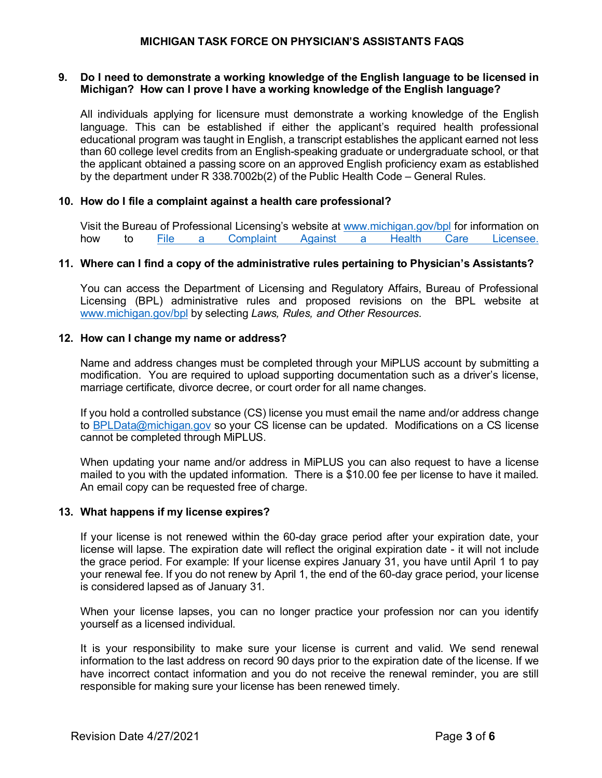# **9. Do I need to demonstrate a working knowledge of the English language to be licensed in Michigan? How can I prove I have a working knowledge of the English language?**

All individuals applying for licensure must demonstrate a working knowledge of the English language. This can be established if either the applicant's required health professional educational program was taught in English, a transcript establishes the applicant earned not less than 60 college level credits from an English-speaking graduate or undergraduate school, or that the applicant obtained a passing score on an approved English proficiency exam as established by the department under R 338.7002b(2) of the Public Health Code – General Rules.

# **10. How do I file a complaint against a health care professional?**

Visit the Bureau of Professional Licensing's website at [www.michigan.gov/bpl](http://www.michigan.gov/bpl) for information on<br>how to File a Complaint Against a Health Care Licensee. to [File a Complaint Against a Health Care Licensee.](http://www.michigan.gov/lara/0,4601,7-154-72600_73836---,00.html)

# **11. Where can I find a copy of the administrative rules pertaining to Physician's Assistants?**

You can access the Department of Licensing and Regulatory Affairs, Bureau of Professional Licensing (BPL) administrative rules and proposed revisions on the BPL website at [www.michigan.gov/bpl](http://www.michigan.gov/bpl) by selecting *Laws, Rules, and Other Resources*.

# **12. How can I change my name or address?**

Name and address changes must be completed through your [MiPLUS account](https://www.michigan.gov/lara/0,4601,7-154-89334_72600_92411---,00.html) by submitting a modification. You are required to upload supporting documentation such as a driver's license, marriage certificate, divorce decree, or court order for all name changes.

If you hold a controlled substance (CS) license you must email the name and/or address change to [BPLData@michigan.gov](mailto:BPLData@michigan.gov) so your CS license can be updated. Modifications on a CS license cannot be completed through MiPLUS.

When updating your name and/or address in MiPLUS you can also request to have a license mailed to you with the updated information. There is a \$10.00 fee per license to have it mailed. An email copy can be requested free of charge.

#### **13. What happens if my license expires?**

If your license is not renewed within the 60-day grace period after your expiration date, your license will lapse. The expiration date will reflect the original expiration date - it will not include the grace period. For example: If your license expires January 31, you have until April 1 to pay your renewal fee. If you do not renew by April 1, the end of the 60-day grace period, your license is considered lapsed as of January 31.

When your license lapses, you can no longer practice your profession nor can you identify yourself as a licensed individual.

It is your responsibility to make sure your license is current and valid. We send renewal information to the last address on record 90 days prior to the expiration date of the license. If we have incorrect contact information and you do not receive the renewal reminder, you are still responsible for making sure your license has been renewed timely.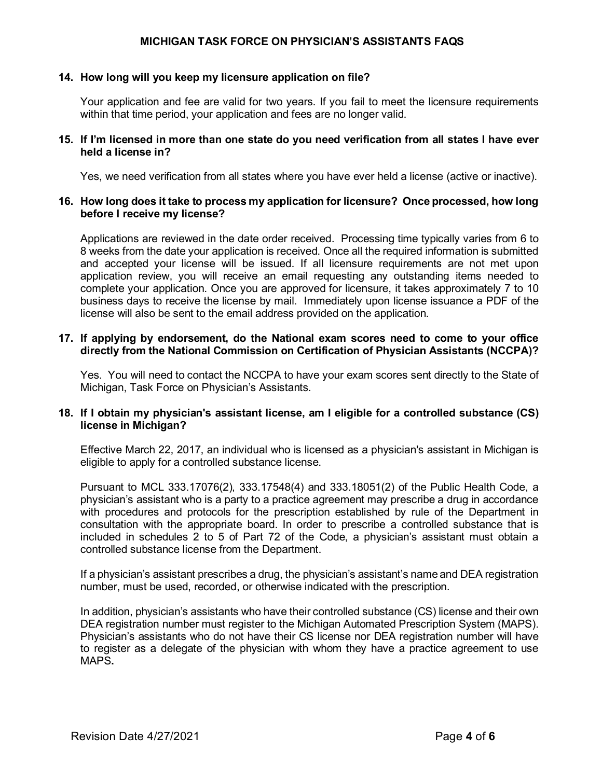#### **14. How long will you keep my licensure application on file?**

Your application and fee are valid for two years. If you fail to meet the licensure requirements within that time period, your application and fees are no longer valid.

#### **15. If I'm licensed in more than one state do you need verification from all states I have ever held a license in?**

Yes, we need verification from all states where you have ever held a license (active or inactive).

# **16. How long does it take to process my application for licensure? Once processed, how long before I receive my license?**

Applications are reviewed in the date order received. Processing time typically varies from 6 to 8 weeks from the date your application is received. Once all the required information is submitted and accepted your license will be issued. If all licensure requirements are not met upon application review, you will receive an email requesting any outstanding items needed to complete your application. Once you are approved for licensure, it takes approximately 7 to 10 business days to receive the license by mail. Immediately upon license issuance a PDF of the license will also be sent to the email address provided on the application.

# **17. If applying by endorsement, do the National exam scores need to come to your office directly from the National Commission on Certification of Physician Assistants (NCCPA)?**

Yes. You will need to contact the NCCPA to have your exam scores sent directly to the State of Michigan, Task Force on Physician's Assistants.

# **18. If I obtain my physician's assistant license, am I eligible for a controlled substance (CS) license in Michigan?**

Effective March 22, 2017, an individual who is licensed as a physician's assistant in Michigan is eligible to apply for a controlled substance license.

Pursuant to MCL 333.17076(2), 333.17548(4) and 333.18051(2) of the Public Health Code, a physician's assistant who is a party to a practice agreement may prescribe a drug in accordance with procedures and protocols for the prescription established by rule of the Department in consultation with the appropriate board. In order to prescribe a controlled substance that is included in schedules 2 to 5 of Part 72 of the Code, a physician's assistant must obtain a controlled substance license from the Department.

If a physician's assistant prescribes a drug, the physician's assistant's name and DEA registration number, must be used, recorded, or otherwise indicated with the prescription.

In addition, physician's assistants who have their controlled substance (CS) license and their own DEA registration number must register to the Michigan Automated Prescription System (MAPS). Physician's assistants who do not have their CS license nor DEA registration number will have to register as a delegate of the physician with whom they have a practice agreement to use MAPS**.**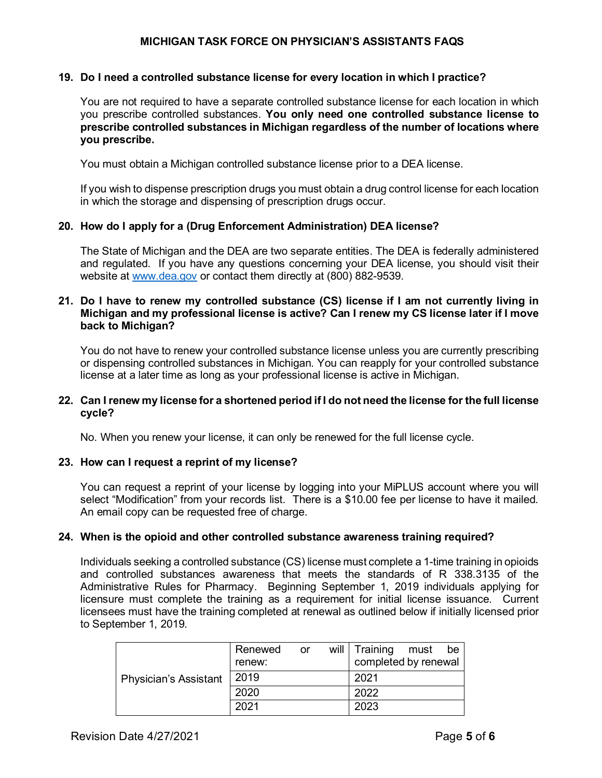#### **19. Do I need a controlled substance license for every location in which I practice?**

You are not required to have a separate controlled substance license for each location in which you prescribe controlled substances. **You only need one controlled substance license to prescribe controlled substances in Michigan regardless of the number of locations where you prescribe.** 

You must obtain a Michigan controlled substance license prior to a DEA license.

If you wish to dispense prescription drugs you must obtain a drug control license for each location in which the storage and dispensing of prescription drugs occur.

# **20. How do I apply for a (Drug Enforcement Administration) DEA license?**

The State of Michigan and the DEA are two separate entities. The DEA is federally administered and regulated. If you have any questions concerning your DEA license, you should visit their website at [www.dea.gov](http://www.dea.gov/) or contact them directly at (800) 882-9539.

# **21. Do I have to renew my controlled substance (CS) license if I am not currently living in Michigan and my professional license is active? Can I renew my CS license later if I move back to Michigan?**

You do not have to renew your controlled substance license unless you are currently prescribing or dispensing controlled substances in Michigan. You can reapply for your controlled substance license at a later time as long as your professional license is active in Michigan.

# **22. Can I renew my license for a shortened period if I do not need the license for the full license cycle?**

No. When you renew your license, it can only be renewed for the full license cycle.

# **23. How can I request a reprint of my license?**

You can request a reprint of your license by logging into your MiPLUS account where you will select "Modification" from your records list. There is a \$10.00 fee per license to have it mailed. An email copy can be requested free of charge.

#### **24. When is the opioid and other controlled substance awareness training required?**

Individuals seeking a controlled substance (CS) license must complete a 1-time training in opioids and controlled substances awareness that meets the standards of R 338.3135 of the Administrative Rules for Pharmacy. Beginning September 1, 2019 individuals applying for licensure must complete the training as a requirement for initial license issuance. Current licensees must have the training completed at renewal as outlined below if initially licensed prior to September 1, 2019.

|                              | Renewed | or | will   Training      | must | be |
|------------------------------|---------|----|----------------------|------|----|
|                              | renew:  |    | completed by renewal |      |    |
| <b>Physician's Assistant</b> | 2019    |    | 2021                 |      |    |
|                              | 2020    |    | 2022                 |      |    |
|                              | 2021    |    | 2023                 |      |    |